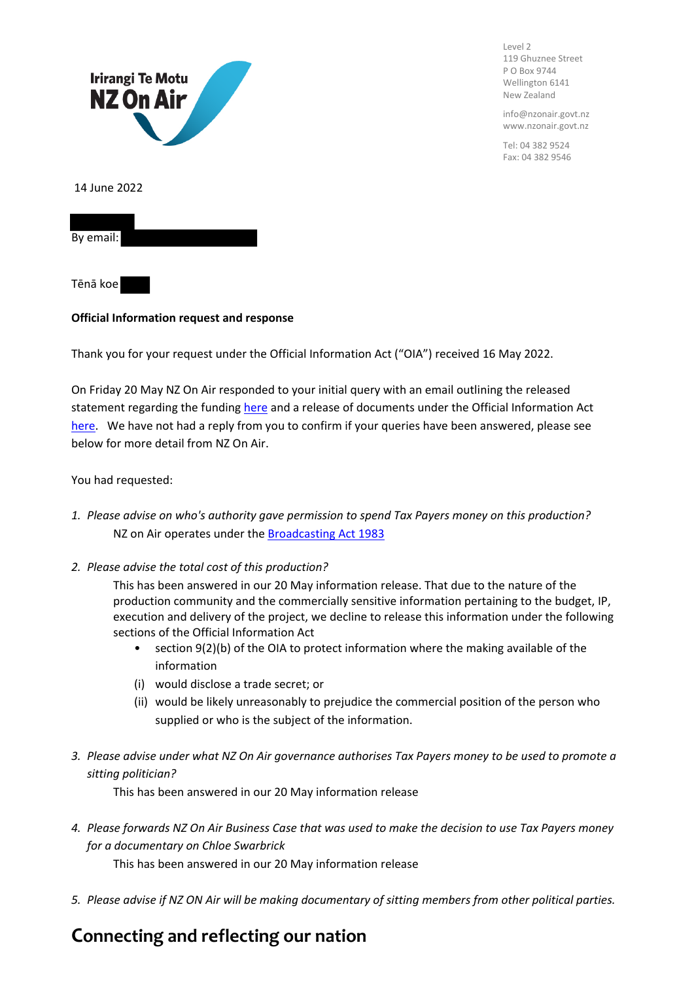

Level 2 119 Ghuznee Street P O Box 9744 Wellington 6141 New Zealand

info@nzonair.govt.nz www.nzonair.govt.nz

Tel: 04 382 9524 Fax: 04 382 9546

## **Official Information request and response**

Thank you for your request under the Official Information Act ("OIA") received 16 May 2022.

On Friday 20 May NZ On Air responded to your initial query with an email outlining the released statement regarding the funding [here](https://www.nzonair.govt.nz/news/information-release-regarding-funded-documentary-being-chl%C3%B6e) and a release of documents under the Official Information Act [here](https://www.nzonair.govt.nz/documents/815/2022-05-20_OIA_Release_Being_Chloe_Funding.pdf). We have not had a reply from you to confirm if your queries have been answered, please see below for more detail from NZ On Air.

You had requested:

- *1. Please advise on who's authority gave permission to spend Tax Payers money on this production?* NZ on Air operates under the **Broadcasting Act 1983**
- *2. Please advise the total cost of this production?*

This has been answered in our 20 May information release. That due to the nature of the production community and the commercially sensitive information pertaining to the budget, IP, execution and delivery of the project, we decline to release this information under the following sections of the Official Information Act

- section 9(2)(b) of the OIA to protect information where the making available of the information
- (i) would disclose a trade secret; or
- (ii) would be likely unreasonably to prejudice the commercial position of the person who supplied or who is the subject of the information.
- *3. Please advise under what NZ On Air governance authorises Tax Payers money to be used to promote a sitting politician?*

This has been answered in our 20 May information release

*4. Please forwards NZ On Air Business Case that was used to make the decision to use Tax Payers money for a documentary on Chloe Swarbrick*

This has been answered in our 20 May information release

*5. Please advise if NZ ON Air will be making documentary of sitting members from other political parties.*

## **Connecting and reflecting our nation**